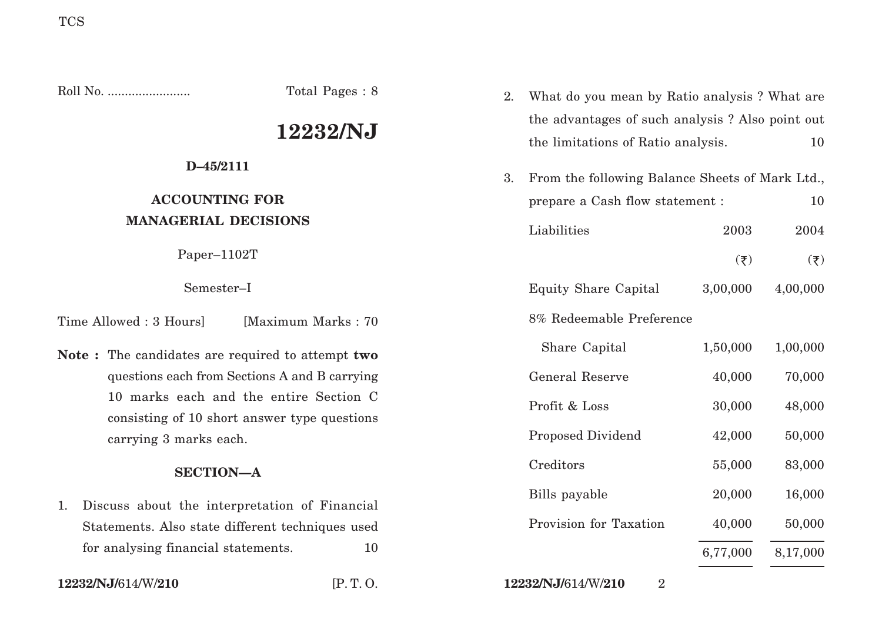Roll No. ........................ Total Pages : 8 **12232/NJ D–45/2111 ACCOUNTING FOR MANAGERIAL DECISIONS** Paper–1102T Semester–I Time Allowed : 3 Hoursl [Maximum Marks : 70] **Note :** The candidates are required to attempt **two** questions each from Sections A and B carrying 10 marks each and the entire Section C consisting of 10 short answer type questions carrying 3 marks each. **SECTION—A** 1. Discuss about the interpretation of Financial Statements. Also state different techniques used for analysing financial statements. 10 2. What do you mean by Ratio analysis ? What are the advantages of such analysis ? Also point out the limitations of Ratio analysis. 10 3. From the following Balance Sheets of Mark Ltd., prepare a Cash flow statement :  $10$ Liabilities 2003 2004  $(\overline{\xi})$   $(\overline{\xi})$ Equity Share Capital 3,00,000 4,00,000 8% Redeemable Preference Share Capital 1,50,000 1,00,000 General Reserve 40,000 70,000 Profit & Loss 30,000 48,000 Proposed Dividend 42,000 50,000 Creditors 55,000 83,000 Bills payable 20,000 16,000 Provision for Taxation  $40,000$  50,000 6,77,000 8,17,000

**12232/NJ/**614/W/**210** [P. T. O. **12232/NJ/**614/W/**210** 2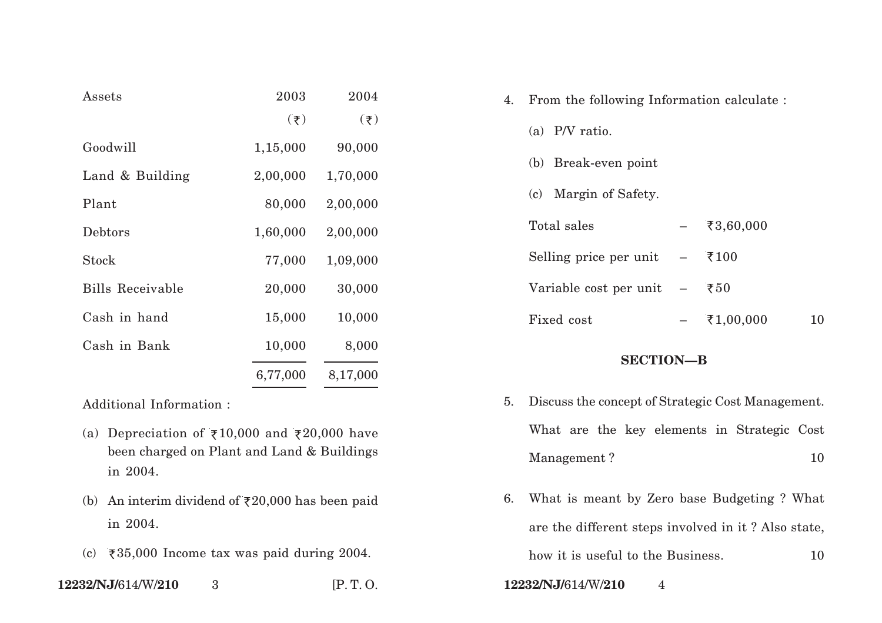| $\operatorname{Assets}$ | 2003           | 2004                 |
|-------------------------|----------------|----------------------|
|                         | $(\bar{\tau})$ | $(\bar{\mathbf{z}})$ |
| Goodwill                | 1,15,000       | 90,000               |
| Land & Building         | 2,00,000       | 1,70,000             |
| Plant                   | 80,000         | 2,00,000             |
| Debtors                 | 1,60,000       | 2,00,000             |
| Stock                   | 77,000         | 1,09,000             |
| <b>Bills Receivable</b> | 20,000         | 30,000               |
| Cash in hand            | 15,000         | 10,000               |
| Cash in Bank            | 10,000         | 8,000                |
|                         | 6,77,000       | 8,17,000             |

Additional Information :

- (a) Depreciation of  $\overline{\xi}10,000$  and  $\overline{\xi}20,000$  have been charged on Plant and Land & Buildings in 2004.
- (b) An interim dividend of  $\overline{\tau}20,000$  has been paid in 2004.
- (c)  $\overline{\xi}35,000$  Income tax was paid during 2004.
- **12232/NJ/**614/W/**210** 3 [P. T. O. **12232/NJ/**614/W/**210** 4

| 4. | From the following Information calculate : |                          |           |  |
|----|--------------------------------------------|--------------------------|-----------|--|
|    | (a) $P/V$ ratio.                           |                          |           |  |
|    | (b) Break-even point                       |                          |           |  |
|    | (c) Margin of Safety.                      |                          |           |  |
|    | Total sales                                |                          | ₹3,60,000 |  |
|    | Selling price per unit                     | $\overline{\phantom{0}}$ | ₹100      |  |
|    | Variable cost per unit                     | $\overline{\phantom{0}}$ | ₹ $50$    |  |
|    | Fixed cost                                 |                          | ₹1,00,000 |  |

## **SECTION—B**

- 5. Discuss the concept of Strategic Cost Management. What are the key elements in Strategic Cost Management ? 10
- 6. What is meant by Zero base Budgeting ? What are the different steps involved in it ? Also state, how it is useful to the Business. 10
- 
-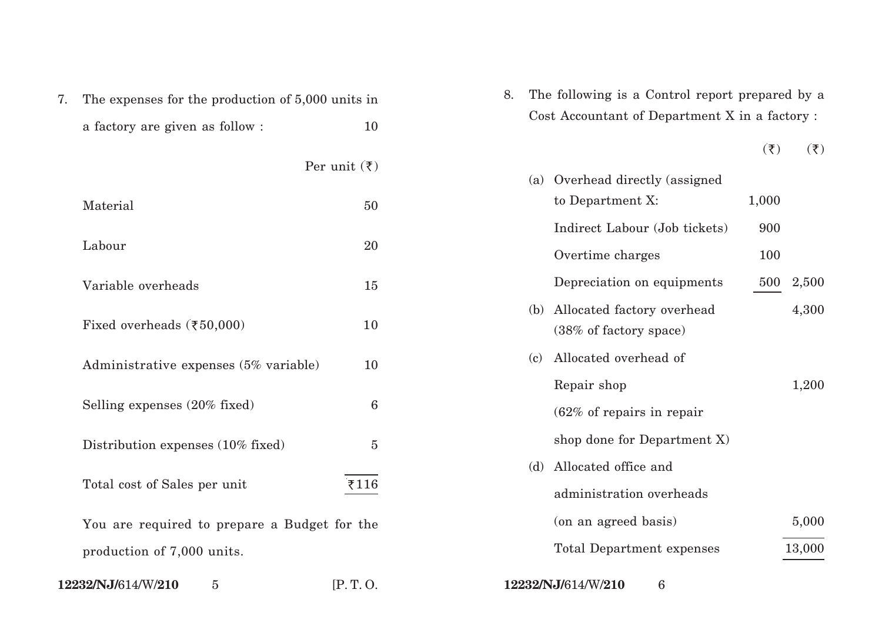| 7. | The expenses for the production of 5,000 units in                          |                         | 8.  | The following is a Con                          |  |
|----|----------------------------------------------------------------------------|-------------------------|-----|-------------------------------------------------|--|
|    | a factory are given as follow:                                             | 10                      |     | Cost Accountant of Dep                          |  |
|    |                                                                            | Per unit $(\bar{\tau})$ |     | (a) Overhead directly                           |  |
|    | Material                                                                   | 50                      |     | to Department X:                                |  |
|    | Labour                                                                     | 20                      |     | Indirect Labour (Jo<br>Overtime charges         |  |
|    | Variable overheads                                                         | 15                      |     | Depreciation on eq                              |  |
|    | Fixed overheads $(\overline{\xi}50,000)$                                   | 10                      |     | (b) Allocated factory of<br>(38% of factory spa |  |
|    | Administrative expenses (5% variable)                                      | 10                      | (c) | Allocated overhead                              |  |
|    | Selling expenses (20% fixed)                                               | 6                       |     | Repair shop<br>$(62\% \text{ of repairs in})$   |  |
|    | Distribution expenses (10% fixed)                                          | $\overline{5}$          |     | shop done for Depa                              |  |
|    | Total cost of Sales per unit                                               | ₹116                    |     | (d) Allocated office and<br>administration ove  |  |
|    | You are required to prepare a Budget for the<br>production of 7,000 units. |                         |     | (on an agreed basis<br>Total Department         |  |
|    | 12232/NJ/614/W/210<br>5                                                    | [P.T. O.                |     | 12232/NJ/614/W/210<br>6                         |  |

| 8. The following is a Control report prepared by a |
|----------------------------------------------------|
| Cost Accountant of Department X in a factory :     |

 $(\overline{\xi})$   $(\overline{\xi})$ 

|     | (a) Overhead directly (assigned                      |       |        |
|-----|------------------------------------------------------|-------|--------|
|     | to Department X:                                     | 1,000 |        |
|     | Indirect Labour (Job tickets)                        | 900   |        |
|     | Overtime charges                                     | 100   |        |
|     | Depreciation on equipments                           | 500   | 2,500  |
| (b) | Allocated factory overhead<br>(38% of factory space) |       | 4,300  |
| (c) | Allocated overhead of                                |       |        |
|     | Repair shop                                          |       | 1,200  |
|     | $(62\% \text{ of repairs in repair})$                |       |        |
|     | shop done for Department X)                          |       |        |
| (d) | Allocated office and                                 |       |        |
|     | administration overheads                             |       |        |
|     | (on an agreed basis)                                 |       | 5,000  |
|     | <b>Total Department expenses</b>                     |       | 13,000 |
|     |                                                      |       |        |